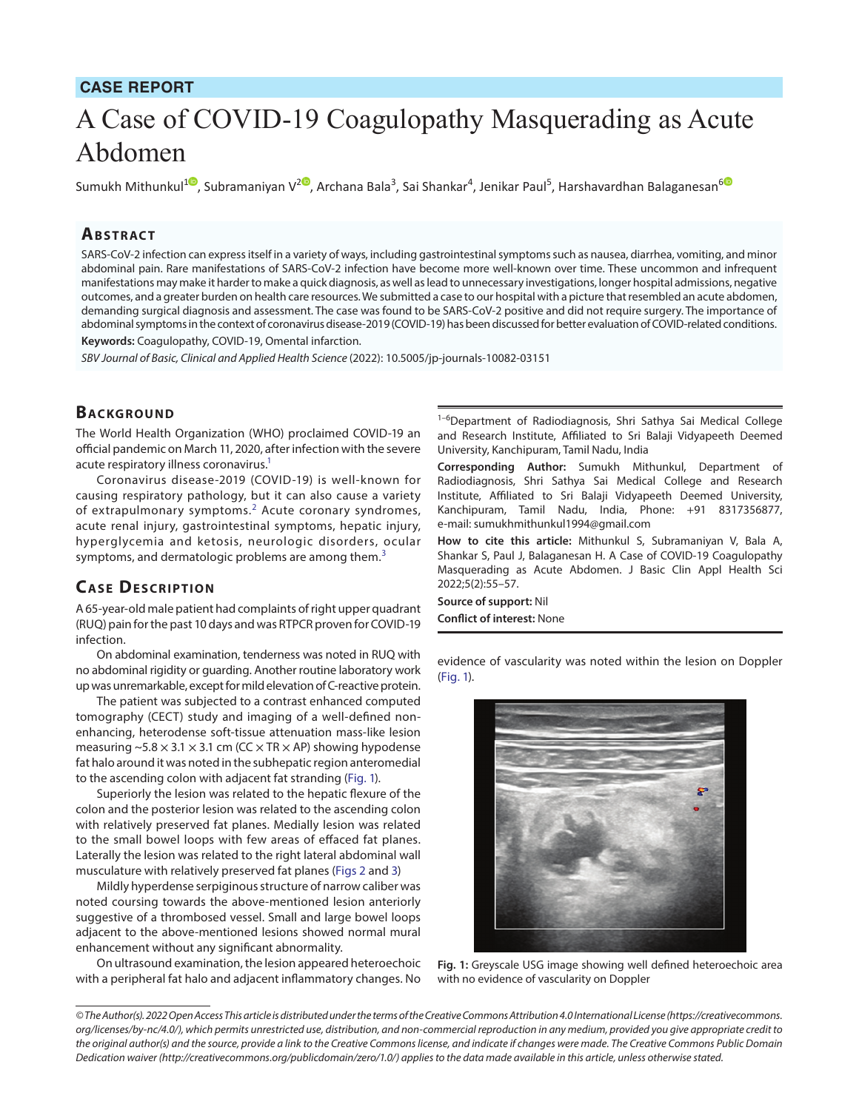## **CASE REPORT**

# A Case of COVID-19 Coagulopathy Masquerading as Acute Abdomen

Sumukh Mithunkul<sup>10</sup>[,](https://orcid.org/0000-0001-6966-2182) Subramaniyan V<sup>[2](https://orcid.org/0000-0003-0182-8216)0</sup>, Archana Bala<sup>3</sup>, Sai Shankar<sup>4</sup>, Jenikar Paul<sup>5</sup>, Harshavardhan Balaganesan<sup>[6](https://orcid.org/0000-0001-7738-5154)</sup>

#### **Ab s t rac t**

SARS-CoV-2 infection can express itself in a variety of ways, including gastrointestinal symptoms such as nausea, diarrhea, vomiting, and minor abdominal pain. Rare manifestations of SARS-CoV-2 infection have become more well-known over time. These uncommon and infrequent manifestations may make it harder to make a quick diagnosis, as well as lead to unnecessary investigations, longer hospital admissions, negative outcomes, and a greater burden on health care resources. We submitted a case to our hospital with a picture that resembled an acute abdomen, demanding surgical diagnosis and assessment. The case was found to be SARS-CoV-2 positive and did not require surgery. The importance of abdominal symptoms in the context of coronavirus disease-2019 (COVID-19) has been discussed for better evaluation of COVID-related conditions. **Keywords:** Coagulopathy, COVID-19, Omental infarction.

*SBV Journal of Basic, Clinical and Applied Health Science* (2022): 10.5005/jp-journals-10082-03151

#### **BACKGROUND**

The World Health Organization (WHO) proclaimed COVID-19 an official pandemic on March 11, 2020, after infection with the severe acute respiratory illness coronavirus.<sup>1</sup>

Coronavirus disease-2019 (COVID-19) is well-known for causing respiratory pathology, but it can also cause a variety of extrapulmonary symptoms. $^2$  $^2$  Acute coronary syndromes, acute renal injury, gastrointestinal symptoms, hepatic injury, hyperglycemia and ketosis, neurologic disorders, ocular symptoms, and dermatologic problems are among them. $3$ 

#### **CASE DESCRIPTION**

A 65-year-old male patient had complaints of right upper quadrant (RUQ) pain for the past 10 days and was RTPCR proven for COVID-19 infection.

On abdominal examination, tenderness was noted in RUQ with no abdominal rigidity or guarding. Another routine laboratory work up was unremarkable, except for mild elevation of C-reactive protein.

The patient was subjected to a contrast enhanced computed tomography (CECT) study and imaging of a well-defined nonenhancing, heterodense soft-tissue attenuation mass-like lesion measuring  $\sim$  5.8  $\times$  3.1  $\times$  3.1 cm (CC  $\times$  TR  $\times$  AP) showing hypodense fat halo around it was noted in the subhepatic region anteromedial to the ascending colon with adjacent fat stranding ([Fig. 1](#page-0-0)).

Superiorly the lesion was related to the hepatic flexure of the colon and the posterior lesion was related to the ascending colon with relatively preserved fat planes. Medially lesion was related to the small bowel loops with few areas of effaced fat planes. Laterally the lesion was related to the right lateral abdominal wall musculature with relatively preserved fat planes [\(Figs 2](#page-1-0) and [3](#page-1-1))

Mildly hyperdense serpiginous structure of narrow caliber was noted coursing towards the above-mentioned lesion anteriorly suggestive of a thrombosed vessel. Small and large bowel loops adjacent to the above-mentioned lesions showed normal mural enhancement without any significant abnormality.

On ultrasound examination, the lesion appeared heteroechoic with a peripheral fat halo and adjacent inflammatory changes. No

<sup>1-6</sup>Department of Radiodiagnosis, Shri Sathya Sai Medical College and Research Institute, Affiliated to Sri Balaji Vidyapeeth Deemed University, Kanchipuram, Tamil Nadu, India

**Corresponding Author:** Sumukh Mithunkul, Department of Radiodiagnosis, Shri Sathya Sai Medical College and Research Institute, Affiliated to Sri Balaji Vidyapeeth Deemed University, Kanchipuram, Tamil Nadu, India, Phone: +91 8317356877, e-mail: sumukhmithunkul1994@gmail.com

**How to cite this article:** Mithunkul S, Subramaniyan V, Bala A, Shankar S, Paul J, Balaganesan H. A Case of COVID-19 Coagulopathy Masquerading as Acute Abdomen. J Basic Clin Appl Health Sci 2022;5(2):55–57.

**Source of support:** Nil **Conflict of interest:** None

evidence of vascularity was noted within the lesion on Doppler [\(Fig. 1\)](#page-0-0).



<span id="page-0-0"></span>**Fig. 1:** Greyscale USG image showing well defined heteroechoic area with no evidence of vascularity on Doppler

*<sup>©</sup> The Author(s). 2022 Open Access This article is distributed under the terms of the Creative Commons Attribution 4.0 International License ([https://creativecommons.](https://creativecommons.org/licenses/by-nc/4.0/) [org/licenses/by-nc/4.0/](https://creativecommons.org/licenses/by-nc/4.0/)), which permits unrestricted use, distribution, and non-commercial reproduction in any medium, provided you give appropriate credit to the original author(s) and the source, provide a link to the Creative Commons license, and indicate if changes were made. The Creative Commons Public Domain Dedication waiver ([http://creativecommons.org/publicdomain/zero/1.0/\)](http://creativecommons.org/publicdomain/zero/1.0/) applies to the data made available in this article, unless otherwise stated.*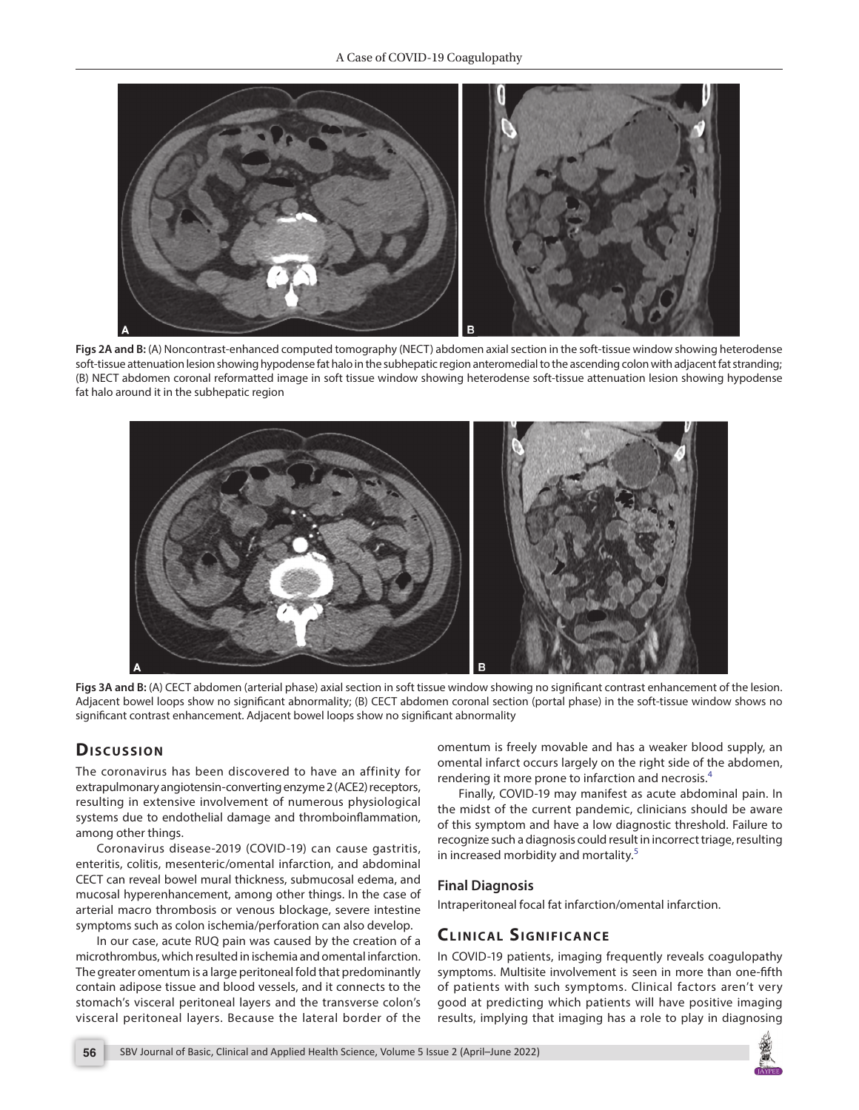

<span id="page-1-0"></span>**Figs 2A and B:** (A) Noncontrast-enhanced computed tomography (NECT) abdomen axial section in the soft-tissue window showing heterodense soft-tissue attenuation lesion showing hypodense fat halo in the subhepatic region anteromedial to the ascending colon with adjacent fat stranding; (B) NECT abdomen coronal reformatted image in soft tissue window showing heterodense soft-tissue attenuation lesion showing hypodense fat halo around it in the subhepatic region



<span id="page-1-1"></span>**Figs 3A and B:** (A) CECT abdomen (arterial phase) axial section in soft tissue window showing no significant contrast enhancement of the lesion. Adjacent bowel loops show no significant abnormality; (B) CECT abdomen coronal section (portal phase) in the soft-tissue window shows no significant contrast enhancement. Adjacent bowel loops show no significant abnormality

# Discussion

The coronavirus has been discovered to have an affinity for extrapulmonary angiotensin-converting enzyme 2 (ACE2) receptors, resulting in extensive involvement of numerous physiological systems due to endothelial damage and thromboinflammation, among other things.

Coronavirus disease-2019 (COVID-19) can cause gastritis, enteritis, colitis, mesenteric/omental infarction, and abdominal CECT can reveal bowel mural thickness, submucosal edema, and mucosal hyperenhancement, among other things. In the case of arterial macro thrombosis or venous blockage, severe intestine symptoms such as colon ischemia/perforation can also develop.

In our case, acute RUQ pain was caused by the creation of a microthrombus, which resulted in ischemia and omental infarction. The greater omentum is a large peritoneal fold that predominantly contain adipose tissue and blood vessels, and it connects to the stomach's visceral peritoneal layers and the transverse colon's visceral peritoneal layers. Because the lateral border of the

omentum is freely movable and has a weaker blood supply, an omental infarct occurs largely on the right side of the abdomen, rendering it more prone to infarction and necrosis.<sup>[4](#page-2-3)</sup>

Finally, COVID-19 may manifest as acute abdominal pain. In the midst of the current pandemic, clinicians should be aware of this symptom and have a low diagnostic threshold. Failure to recognize such a diagnosis could result in incorrect triage, resulting in increased morbidity and mortality.<sup>[5](#page-2-4)</sup>

#### **Final Diagnosis**

Intraperitoneal focal fat infarction/omental infarction.

# **CLINICAL SIGNIFICANCE**

In COVID-19 patients, imaging frequently reveals coagulopathy symptoms. Multisite involvement is seen in more than one-fifth of patients with such symptoms. Clinical factors aren't very good at predicting which patients will have positive imaging results, implying that imaging has a role to play in diagnosing